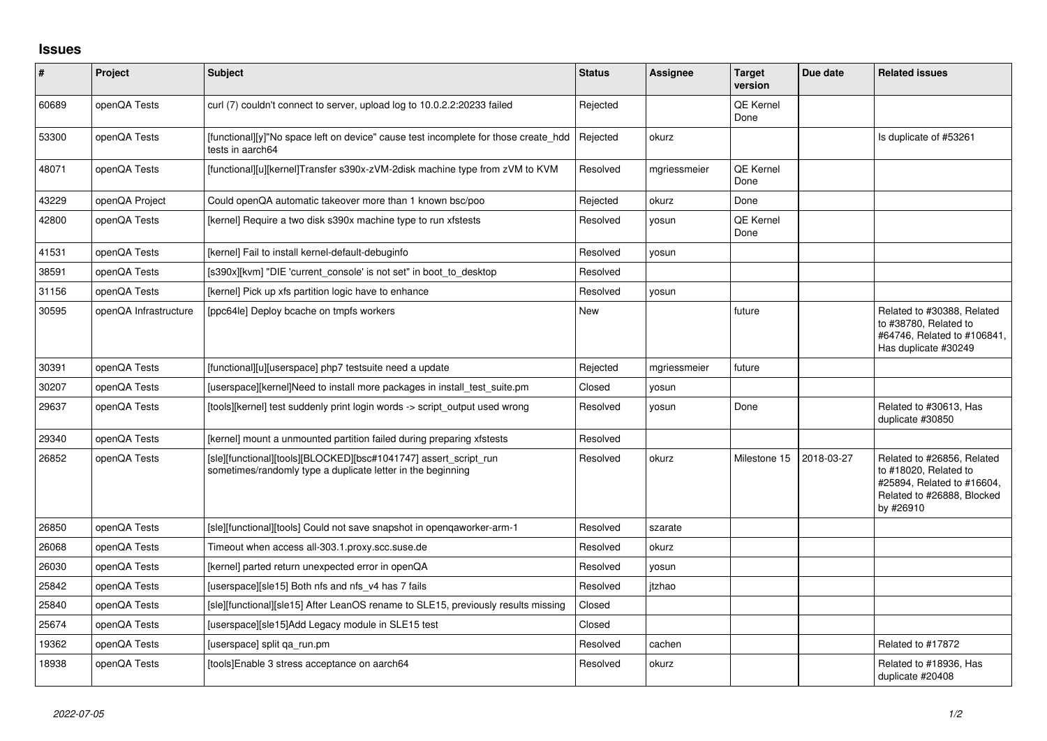## **Issues**

| $\pmb{\#}$ | Project               | Subject                                                                                                                         | <b>Status</b> | <b>Assignee</b> | <b>Target</b><br>version | Due date   | <b>Related issues</b>                                                                                                        |
|------------|-----------------------|---------------------------------------------------------------------------------------------------------------------------------|---------------|-----------------|--------------------------|------------|------------------------------------------------------------------------------------------------------------------------------|
| 60689      | openQA Tests          | curl (7) couldn't connect to server, upload log to 10.0.2.2:20233 failed                                                        | Rejected      |                 | <b>QE Kernel</b><br>Done |            |                                                                                                                              |
| 53300      | openQA Tests          | [functional][y]"No space left on device" cause test incomplete for those create_hdd<br>tests in aarch64                         | Rejected      | okurz           |                          |            | Is duplicate of #53261                                                                                                       |
| 48071      | openQA Tests          | [functional][u][kernel]Transfer s390x-zVM-2disk machine type from zVM to KVM                                                    | Resolved      | mgriessmeier    | QE Kernel<br>Done        |            |                                                                                                                              |
| 43229      | openQA Project        | Could openQA automatic takeover more than 1 known bsc/poo                                                                       | Rejected      | okurz           | Done                     |            |                                                                                                                              |
| 42800      | openQA Tests          | [kernel] Require a two disk s390x machine type to run xfstests                                                                  | Resolved      | yosun           | <b>QE Kernel</b><br>Done |            |                                                                                                                              |
| 41531      | openQA Tests          | [kernel] Fail to install kernel-default-debuginfo                                                                               | Resolved      | yosun           |                          |            |                                                                                                                              |
| 38591      | openQA Tests          | [s390x][kvm] "DIE 'current console' is not set" in boot to desktop                                                              | Resolved      |                 |                          |            |                                                                                                                              |
| 31156      | openQA Tests          | [kernel] Pick up xfs partition logic have to enhance                                                                            | Resolved      | yosun           |                          |            |                                                                                                                              |
| 30595      | openQA Infrastructure | [ppc64le] Deploy bcache on tmpfs workers                                                                                        | New           |                 | future                   |            | Related to #30388, Related<br>to #38780, Related to<br>#64746, Related to #106841,<br>Has duplicate #30249                   |
| 30391      | openQA Tests          | [functional][u][userspace] php7 testsuite need a update                                                                         | Rejected      | mgriessmeier    | future                   |            |                                                                                                                              |
| 30207      | openQA Tests          | [userspace][kernel]Need to install more packages in install_test_suite.pm                                                       | Closed        | yosun           |                          |            |                                                                                                                              |
| 29637      | openQA Tests          | [tools][kernel] test suddenly print login words -> script_output used wrong                                                     | Resolved      | vosun           | Done                     |            | Related to #30613, Has<br>duplicate #30850                                                                                   |
| 29340      | openQA Tests          | [kernel] mount a unmounted partition failed during preparing xfstests                                                           | Resolved      |                 |                          |            |                                                                                                                              |
| 26852      | openQA Tests          | [sle][functional][tools][BLOCKED][bsc#1041747] assert_script_run<br>sometimes/randomly type a duplicate letter in the beginning | Resolved      | okurz           | Milestone 15             | 2018-03-27 | Related to #26856, Related<br>to #18020, Related to<br>#25894, Related to #16604,<br>Related to #26888, Blocked<br>by #26910 |
| 26850      | openQA Tests          | [sle][functional][tools] Could not save snapshot in opengaworker-arm-1                                                          | Resolved      | szarate         |                          |            |                                                                                                                              |
| 26068      | openQA Tests          | Timeout when access all-303.1.proxy.scc.suse.de                                                                                 | Resolved      | okurz           |                          |            |                                                                                                                              |
| 26030      | openQA Tests          | [kernel] parted return unexpected error in openQA                                                                               | Resolved      | yosun           |                          |            |                                                                                                                              |
| 25842      | openQA Tests          | [userspace][sle15] Both nfs and nfs_v4 has 7 fails                                                                              | Resolved      | jtzhao          |                          |            |                                                                                                                              |
| 25840      | openQA Tests          | [sle][functional][sle15] After LeanOS rename to SLE15, previously results missing                                               | Closed        |                 |                          |            |                                                                                                                              |
| 25674      | openQA Tests          | [userspace][sle15]Add Legacy module in SLE15 test                                                                               | Closed        |                 |                          |            |                                                                                                                              |
| 19362      | openQA Tests          | [userspace] split ga_run.pm                                                                                                     | Resolved      | cachen          |                          |            | Related to #17872                                                                                                            |
| 18938      | openQA Tests          | Itools]Enable 3 stress acceptance on aarch64                                                                                    | Resolved      | okurz           |                          |            | Related to #18936, Has<br>duplicate #20408                                                                                   |